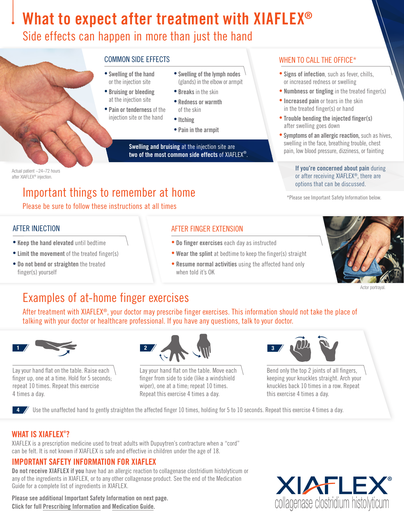# What to expect after treatment with XIAFLEX<sup>®</sup>

### Side effects can happen in more than just the hand



Actual patient ~24–72 hours after XIAFLEX® injection.

## Important things to remember at home

Please be sure to follow these instructions at all times

### AFTER INJECTION

- Keep the hand elevated until bedtime
- Limit the movement of the treated finger(s)
- Do not bend or straighten the treated finger(s) yourself

- Swelling of the hand or the injection site • Swelling of the lymph nodes (glands) in the elbow or armpit
- Bruising or bleeding at the injection site
- Pain or tenderness of the injection site or the hand
- Itching • Pain in the armpit

• Breaks in the skin • Redness or warmth of the skin

Swelling and bruising at the injection site are two of the most common side effects of XIAFLEX®.

### COMMON SIDE EFFECTS WHEN TO CALL THE OFFICE\*

- Signs of infection, such as fever, chills, or increased redness or swelling
- Numbness or tingling in the treated finger(s)
- Increased pain or tears in the skin in the treated finger(s) or hand
- Trouble bending the injected finger(s) after swelling goes down
- Symptoms of an allergic reaction, such as hives, swelling in the face, breathing trouble, chest pain, low blood pressure, dizziness, or fainting

If you're concerned about pain during or after receiving XIAFLEX®, there are options that can be discussed.

\*Please see Important Safety Information below.

### AFTER FINGER EXTENSION

- Do finger exercises each day as instructed
- Wear the splint at bedtime to keep the finger(s) straight
- Resume normal activities using the affected hand only when told it's OK



Actor portrayal.

# Examples of at-home finger exercises

After treatment with XIAFLEX®, your doctor may prescribe finger exercises. This information should not take the place of talking with your doctor or healthcare professional. If you have any questions, talk to your doctor.



Lay your hand flat on the table. Raise each finger up, one at a time. Hold for 5 seconds; repeat 10 times. Repeat this exercise 4 times a day.



Lay your hand flat on the table. Move each finger from side to side (like a windshield wiper), one at a time; repeat 10 times. Repeat this exercise 4 times a day.



Bend only the top 2 joints of all fingers, keeping your knuckles straight. Arch your knuckles back 10 times in a row. Repeat this exercise 4 times a day.

4 Use the unaffected hand to gently straighten the affected finger 10 times, holding for 5 to 10 seconds. Repeat this exercise 4 times a day.

### WHAT IS XIAFLEX® ?

XIAFLEX is a prescription medicine used to treat adults with Dupuytren's contracture when a "cord" can be felt. It is not known if XIAFLEX is safe and effective in children under the age of 18.

### IMPORTANT SAFETY INFORMATION FOR XIAFLEX

Do not receive XIAFLEX if you have had an allergic reaction to collagenase clostridium histolyticum or any of the ingredients in XIAFLEX, or to any other collagenase product. See the end of the Medication Guide for a complete list of ingredients in XIAFLEX.

Please see additional Important Safety Information on next page. Click for full [Prescribing Information](https://endodocuments.com/XIAFLEX/PI) and [Medication Guide.](https://endodocuments.com/XIAFLEX/MG)